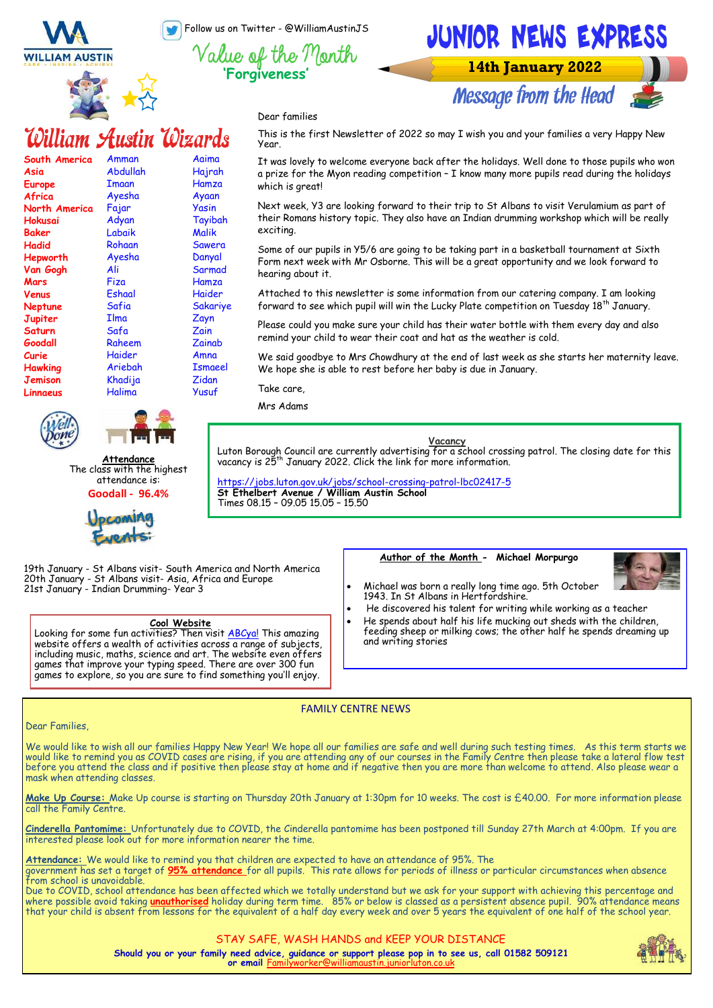Follow us on Twitter - @WilliamAustinJS



**South America**

Amman Abdullah **Tmaan** Ayesha Fajar Adyan Labaik Rohaan Ayesha Ali Fiza Eshaal Safia Ilma Safa Raheem Haider Ariebah Khadija Halima

William Austin Wizards

**Asia Europe Africa North America Hokusai Baker Hadid Hepworth Van Gogh Mars Venus Neptune Jupiter Saturn Goodall Curie Hawking Jemison Linnaeus** 



Aaima Hajrah Hamza Ayaan Yasin Tayibah Malik Sawera Danyal **Sarmad** Hamza Haider Sakariye Zayn Zain **Zainab** Amna Ismaeel Zidan Yusuf



**14th January 2022** 

**Message from the Head** 

Dear families

This is the first Newsletter of 2022 so may I wish you and your families a very Happy New Year.

It was lovely to welcome everyone back after the holidays. Well done to those pupils who won a prize for the Myon reading competition – I know many more pupils read during the holidays which is greatl

Next week, Y3 are looking forward to their trip to St Albans to visit Verulamium as part of their Romans history topic. They also have an Indian drumming workshop which will be really exciting.

Some of our pupils in Y5/6 are going to be taking part in a basketball tournament at Sixth Form next week with Mr Osborne. This will be a great opportunity and we look forward to hearing about it.

Attached to this newsletter is some information from our catering company. I am looking forward to see which pupil will win the Lucky Plate competition on Tuesday  $18<sup>th</sup>$  January.

Please could you make sure your child has their water bottle with them every day and also remind your child to wear their coat and hat as the weather is cold.

We said goodbye to Mrs Chowdhury at the end of last week as she starts her maternity leave. We hope she is able to rest before her baby is due in January.

Take care,

Mrs Adams

**Vacancy**

Luton Borough Council are currently advertising for a school crossing patrol. The closing date for this<br>vacancy is 25<sup>th</sup> January 2022. Click the link for more information.

[https://jobs.luton.gov.uk/jobs/school](https://jobs.luton.gov.uk/jobs/school-crossing-patrol-lbc02417-5)-crossing-patrol-lbc02417-5 **St Ethelbert Avenue / William Austin School** Times 08.15 – 09.05 15.05 – 15.50

19th January - St Albans visit- South America and North America 20th January - St Albans visit- Asia, Africa and Europe 21st January - Indian Drumming- Year 3

**Attendance** The class with the highest attendance is: **Goodall - 96.4%**

**CAMILLO** 

#### **Cool Website**

Looking for some fun activities? Then visit [ABCya!](https://www.abcya.com/) This amazing website offers a wealth of activities across a range of subjects, including music, maths, science and art. The website even offers games that improve your typing speed. There are over 300 fun games to explore, so you are sure to find something you'll enjoy.

#### **Author of the Month - Michael Morpurgo**



- Michael was born a really long time ago. 5th October 1943. In St Albans in Hertfordshire.
- He discovered his talent for writing while working as a teacher
- He spends about half his life mucking out sheds with the children, feeding sheep or milking cows; the other half he spends dreaming up and writing stories

#### FAMILY CENTRE NEWS

#### Dear Families,

We would like to wish all our families Happy New Year! We hope all our families are safe and well during such testing times. As this term starts we would like to remind you as COVID cases are rising, if you are attending any of our courses in the Family Centre then please take a lateral flow test before you attend the class and if positive then please stay at home and if negative then you are more than welcome to attend. Also please wear a mask when attending classes.

**Make Up Course:** Make Up course is starting on Thursday 20th January at 1:30pm for 10 weeks. The cost is £40.00. For more information please call the Family Centre.

**Cinderella Pantomime:** Unfortunately due to COVID, the Cinderella pantomime has been postponed till Sunday 27th March at 4:00pm. If you are interested please look out for more information nearer the time.

**Attendance:** We would like to remind you that children are expected to have an attendance of 95%. The

government has set a target of **95% attendance** for all pupils. This rate allows for periods of illness or particular circumstances when absence from school is unavoidable.

Due to COVID, school attendance has been affected which we totally understand but we ask for your support with achieving this percentage and where possible avoid taking **unauthorised** holiday during term time. 85% or below is classed as a persistent absence pupil. 90% attendance means that your child is absent from lessons for the equivalent of a half day every week and over 5 years the equivalent of one half of the school year.

#### STAY SAFE, WASH HANDS and KEEP YOUR DISTANCE

**Should you or your family need advice, guidance or support please pop in to see us, call 01582 509121 or email** Fam

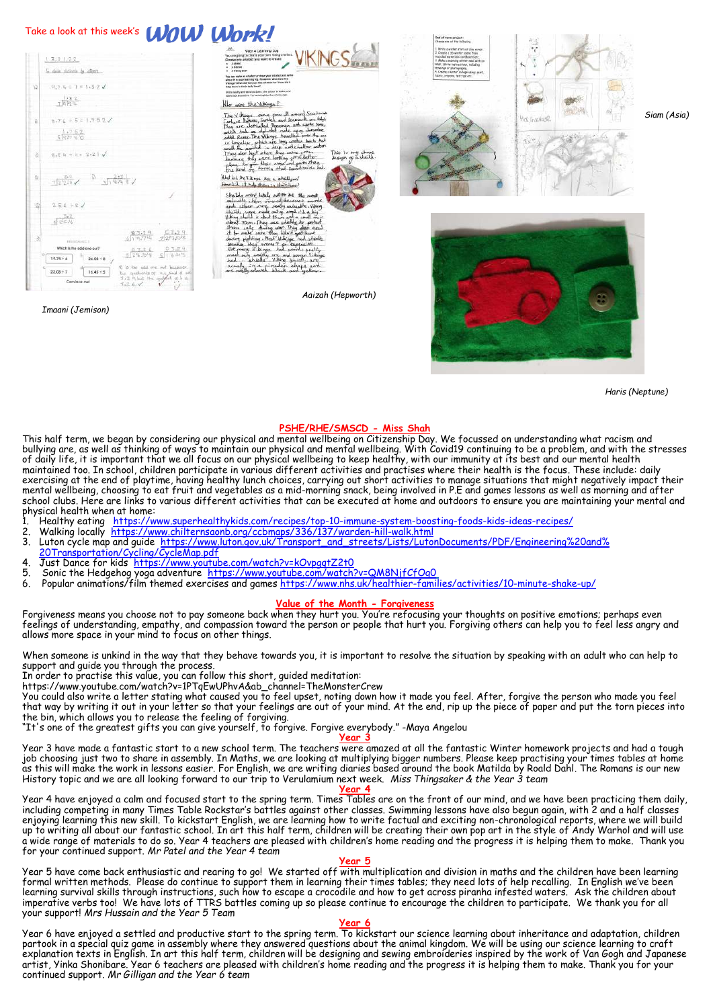

*Haris (Neptune)*

### **PSHE/RHE/SMSCD - Miss Shah**

This half term, we began by considering our physical and mental wellbeing on Citizenship Day. We focussed on understanding what racism and bullying are, as well as thinking of ways to maintain our physical and mental wellbeing. With Covid19 continuing to be a problem, and with the stresses of daily life, it is important that we all focus on our physical wellbeing to keep healthy, with our immunity at its best and our mental health maintained too. In school, children participate in various different activities and practises where their health is the focus. These include: daily exercising at the end of playtime, having healthy lunch choices, carrying out short activities to manage situations that might negatively impact their mental wellbeing, choosing to eat fruit and vegetables as a mid-morning snack, being involved in P.E and games lessons as well as morning and after school clubs. Here are links to various different activities that can be executed at home and outdoors to ensure you are maintaining your mental and physical health when at home:

- 1. Healthy eating [https://www.superhealthykids.com/recipes/top](https://www.superhealthykids.com/recipes/top-10-immune-system-boosting-foods-kids-ideas-recipes/)-10-immune-system-boosting-foods-kids-ideas-recipes/
- 2. Walking locally [https://www.chilternsaonb.org/ccbmaps/336/137/warden](https://www.chilternsaonb.org/ccbmaps/336/137/warden-hill-walk.html)-hill-walk.html
- 3. Luton cycle map and guide [https://www.luton.gov.uk/Transport\\_and\\_streets/Lists/LutonDocuments/PDF/Engineering%20and%](https://www.luton.gov.uk/Transport_and_streets/Lists/LutonDocuments/PDF/Engineering%20and%20Transportation/Cycling/CycleMap.pdf)
- [20Transportation/Cycling/CycleMap.pdf](https://www.luton.gov.uk/Transport_and_streets/Lists/LutonDocuments/PDF/Engineering%20and%20Transportation/Cycling/CycleMap.pdf) 4. Just Dance for kids <https://www.youtube.com/watch?v=kOvpgqtZ2t0><br>5. Sonic the Hedgehog yoga adventure, https://www.youtube.com/watch?
- 
- 5. Sonic the Hedgehog yoga adventure <u><https://www.youtube.com/watch?v=QM8NjfCfOg0></u><br>6. Popular animations/film themed exercises and games <u>[https://www.nhs.uk/healthier](https://www.nhs.uk/healthier-families/activities/10-minute-shake-up/)-families/activities/10-minute-shake-up/</u>

#### **Value of the Month - Forgiveness**

Forgiveness means you choose not to pay someone back when they hurt you. You're refocusing your thoughts on positive emotions; perhaps even feelings of understanding, empathy, and compassion toward the person or people that hurt you. Forgiving others can help you to feel less angry and allows more space in your mind to focus on other things.

When someone is unkind in the way that they behave towards you, it is important to resolve the situation by speaking with an adult who can help to support and guide you through the process.

In order to practise this value, you can follow this short, guided meditation:

https://www.youtube.com/watch?v=1PTqEwUPhvA&ab\_channel=TheMonsterCrew

You could also write a letter stating what caused you to feel upset, noting down how it made you feel. After, forgive the person who made you feel that way by writing it out in your letter so that your feelings are out of your mind. At the end, rip up the piece of paper and put the torn pieces into the bin, which allows you to release the feeling of forgiving.

"It's one of the greatest gifts you can give yourself, to forgive. Forgive everybody." -Maya Angelou

#### **Year 3**

Year 3 have made a fantastic start to a new school term. The teachers were amazed at all the fantastic Winter homework projects and had a tough job choosing just two to share in assembly. In Maths, we are looking at multiplying bigger numbers. Please keep practising your times tables at home as this will make the work in lessons easier. For English, we are writing diaries based around the book Matilda by Roald Dahl. The Romans is our new History topic and we are all looking forward to our trip to Verulamium next week. *Miss Thingsaker & the Year 3 team*

**Year 4** Year 4 have enjoyed a calm and focused start to the spring term. Times Tables are on the front of our mind, and we have been practicing them daily, including competing in many Times Table Rockstar's battles against other classes. Swimming lessons have also begun again, with 2 and a half classes enjoying learning this new skill. To kickstart English, we are learning how to write factual and exciting non-chronological reports, where we will build up to writing all about our fantastic school. In art this half term, children will be creating their own pop art in the style of Andy Warhol and will use a wide range of materials to do so. Year 4 teachers are pleased with children's home reading and the progress it is helping them to make. Thank you for your continued support. *Mr Patel and the Year 4 team*

#### **Year 5**

Year 5 have come back enthusiastic and rearing to go! We started off with multiplication and division in maths and the children have been learning formal written methods. Please do continue to support them in learning their times tables; they need lots of help recalling. In English we've been learning survival skills through instructions, such how to escape a crocodile and how to get across piranha infested waters. Ask the children about imperative verbs too! We have lots of TTRS battles coming up so please continue to encourage the children to participate. We thank you for all your support! *Mrs Hussain and the Year 5 Team*

#### **Year 6**

Year 6 have enjoyed a settled and productive start to the spring term. To kickstart our science learning about inheritance and adaptation, children partook in a special quiz game in assembly where they answered questions about the animal kingdom. We will be using our science learning to craft explanation texts in English. In art this half term, children will be designing and sewing embroideries inspired by the work of Van Gogh and Japanese artist, Yinka Shonibare. Year 6 teachers are pleased with children's home reading and the progress it is helping them to make. Thank you for your continued support. *Mr Gilligan and the Year 6 team*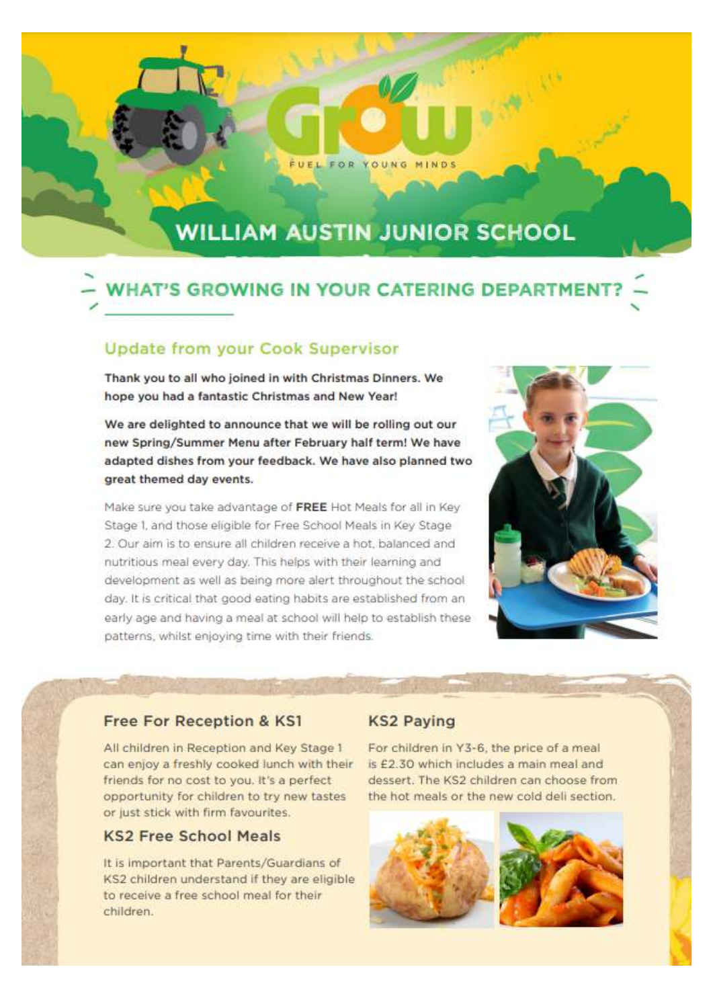## **WILLIAM AUSTIN JUNIOR SCHOOL**

FUEL FOR YOUNG MINDS

# **WHAT'S GROWING IN YOUR CATERING DEPARTMENT**

## **Update from your Cook Supervisor**

Thank you to all who joined in with Christmas Dinners. We hope you had a fantastic Christmas and New Year!

We are delighted to announce that we will be rolling out our new Spring/Summer Menu after February half term! We have adapted dishes from your feedback. We have also planned two great themed day events.

Make sure you take advantage of FREE Hot Meals for all in Key Stage 1, and those eligible for Free School Meals in Key Stage 2. Our aim is to ensure all children receive a hot, balanced and nutritious meal every day. This helps with their learning and development as well as being more alert throughout the school day. It is critical that good eating habits are established from an early age and having a meal at school will help to establish these patterns, whilst enjoying time with their friends.



### **Free For Reception & KS1**

All children in Reception and Key Stage 1 can enjoy a freshly cooked lunch with their friends for no cost to you. It's a perfect opportunity for children to try new tastes or just stick with firm favourites.

## **KS2 Free School Meals**

It is important that Parents/Guardians of KS2 children understand if they are eligible to receive a free school meal for their children.

### **KS2 Paying**

For children in Y3-6, the price of a meal is £2.30 which includes a main meal and dessert. The KS2 children can choose from the hot meals or the new cold deli section.